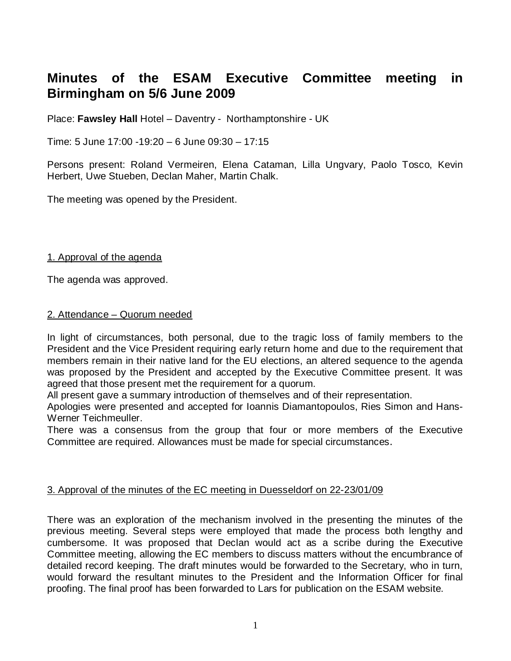# **Minutes of the ESAM Executive Committee meeting in Birmingham on 5/6 June 2009**

Place: **Fawsley Hall** Hotel – Daventry - Northamptonshire - UK

Time: 5 June 17:00 -19:20 – 6 June 09:30 – 17:15

Persons present: Roland Vermeiren, Elena Cataman, Lilla Ungvary, Paolo Tosco, Kevin Herbert, Uwe Stueben, Declan Maher, Martin Chalk.

The meeting was opened by the President.

### 1. Approval of the agenda

The agenda was approved.

#### 2. Attendance – Quorum needed

In light of circumstances, both personal, due to the tragic loss of family members to the President and the Vice President requiring early return home and due to the requirement that members remain in their native land for the EU elections, an altered sequence to the agenda was proposed by the President and accepted by the Executive Committee present. It was agreed that those present met the requirement for a quorum.

All present gave a summary introduction of themselves and of their representation.

Apologies were presented and accepted for Ioannis Diamantopoulos, Ries Simon and Hans-Werner Teichmeuller.

There was a consensus from the group that four or more members of the Executive Committee are required. Allowances must be made for special circumstances.

# 3. Approval of the minutes of the EC meeting in Duesseldorf on 22-23/01/09

There was an exploration of the mechanism involved in the presenting the minutes of the previous meeting. Several steps were employed that made the process both lengthy and cumbersome. It was proposed that Declan would act as a scribe during the Executive Committee meeting, allowing the EC members to discuss matters without the encumbrance of detailed record keeping. The draft minutes would be forwarded to the Secretary, who in turn, would forward the resultant minutes to the President and the Information Officer for final proofing. The final proof has been forwarded to Lars for publication on the ESAM website.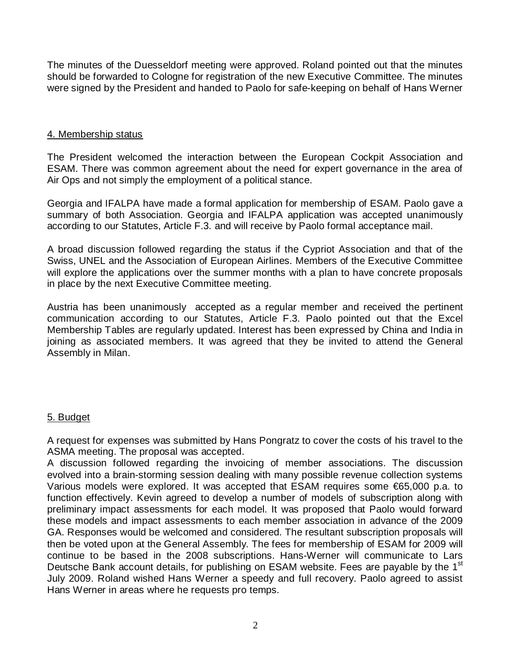The minutes of the Duesseldorf meeting were approved. Roland pointed out that the minutes should be forwarded to Cologne for registration of the new Executive Committee. The minutes were signed by the President and handed to Paolo for safe-keeping on behalf of Hans Werner

# 4. Membership status

The President welcomed the interaction between the European Cockpit Association and ESAM. There was common agreement about the need for expert governance in the area of Air Ops and not simply the employment of a political stance.

Georgia and IFALPA have made a formal application for membership of ESAM. Paolo gave a summary of both Association. Georgia and IFALPA application was accepted unanimously according to our Statutes, Article F.3. and will receive by Paolo formal acceptance mail.

A broad discussion followed regarding the status if the Cypriot Association and that of the Swiss, UNEL and the Association of European Airlines. Members of the Executive Committee will explore the applications over the summer months with a plan to have concrete proposals in place by the next Executive Committee meeting.

Austria has been unanimously accepted as a regular member and received the pertinent communication according to our Statutes, Article F.3. Paolo pointed out that the Excel Membership Tables are regularly updated. Interest has been expressed by China and India in joining as associated members. It was agreed that they be invited to attend the General Assembly in Milan.

# 5. Budget

A request for expenses was submitted by Hans Pongratz to cover the costs of his travel to the ASMA meeting. The proposal was accepted.

A discussion followed regarding the invoicing of member associations. The discussion evolved into a brain-storming session dealing with many possible revenue collection systems Various models were explored. It was accepted that ESAM requires some €65,000 p.a. to function effectively. Kevin agreed to develop a number of models of subscription along with preliminary impact assessments for each model. It was proposed that Paolo would forward these models and impact assessments to each member association in advance of the 2009 GA. Responses would be welcomed and considered. The resultant subscription proposals will then be voted upon at the General Assembly. The fees for membership of ESAM for 2009 will continue to be based in the 2008 subscriptions. Hans-Werner will communicate to Lars Deutsche Bank account details, for publishing on ESAM website. Fees are payable by the 1<sup>st</sup> July 2009. Roland wished Hans Werner a speedy and full recovery. Paolo agreed to assist Hans Werner in areas where he requests pro temps.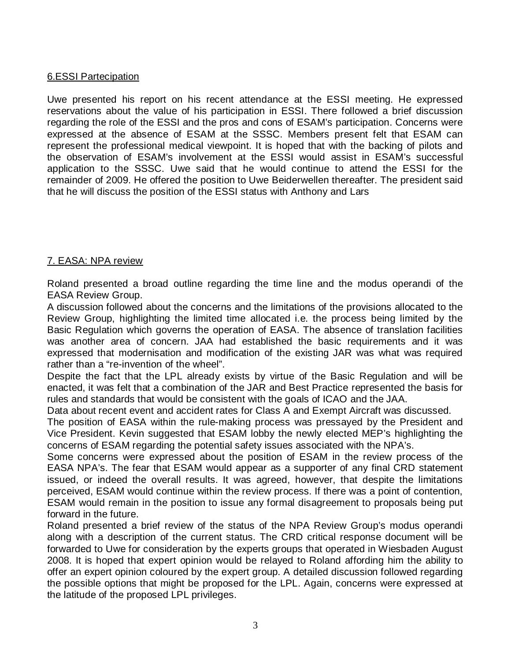# 6.ESSI Partecipation

Uwe presented his report on his recent attendance at the ESSI meeting. He expressed reservations about the value of his participation in ESSI. There followed a brief discussion regarding the role of the ESSI and the pros and cons of ESAM's participation. Concerns were expressed at the absence of ESAM at the SSSC. Members present felt that ESAM can represent the professional medical viewpoint. It is hoped that with the backing of pilots and the observation of ESAM's involvement at the ESSI would assist in ESAM's successful application to the SSSC. Uwe said that he would continue to attend the ESSI for the remainder of 2009. He offered the position to Uwe Beiderwellen thereafter. The president said that he will discuss the position of the ESSI status with Anthony and Lars

# 7. EASA: NPA review

Roland presented a broad outline regarding the time line and the modus operandi of the EASA Review Group.

A discussion followed about the concerns and the limitations of the provisions allocated to the Review Group, highlighting the limited time allocated i.e. the process being limited by the Basic Regulation which governs the operation of EASA. The absence of translation facilities was another area of concern. JAA had established the basic requirements and it was expressed that modernisation and modification of the existing JAR was what was required rather than a "re-invention of the wheel".

Despite the fact that the LPL already exists by virtue of the Basic Regulation and will be enacted, it was felt that a combination of the JAR and Best Practice represented the basis for rules and standards that would be consistent with the goals of ICAO and the JAA.

Data about recent event and accident rates for Class A and Exempt Aircraft was discussed.

The position of EASA within the rule-making process was pressayed by the President and Vice President. Kevin suggested that ESAM lobby the newly elected MEP's highlighting the concerns of ESAM regarding the potential safety issues associated with the NPA's.

Some concerns were expressed about the position of ESAM in the review process of the EASA NPA's. The fear that ESAM would appear as a supporter of any final CRD statement issued, or indeed the overall results. It was agreed, however, that despite the limitations perceived, ESAM would continue within the review process. If there was a point of contention, ESAM would remain in the position to issue any formal disagreement to proposals being put forward in the future.

Roland presented a brief review of the status of the NPA Review Group's modus operandi along with a description of the current status. The CRD critical response document will be forwarded to Uwe for consideration by the experts groups that operated in Wiesbaden August 2008. It is hoped that expert opinion would be relayed to Roland affording him the ability to offer an expert opinion coloured by the expert group. A detailed discussion followed regarding the possible options that might be proposed for the LPL. Again, concerns were expressed at the latitude of the proposed LPL privileges.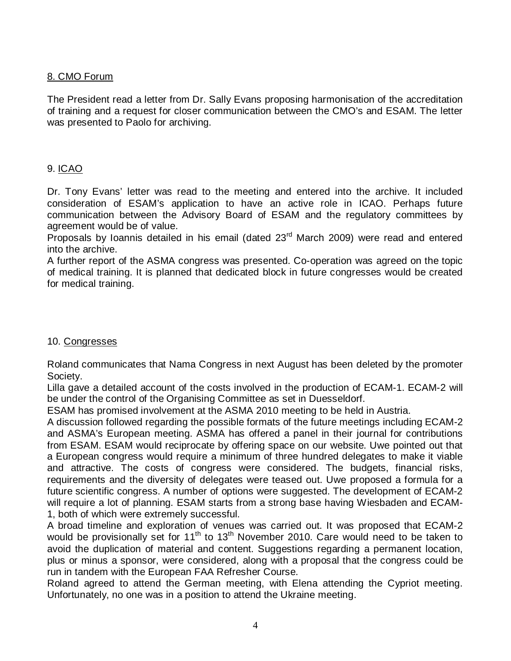# 8. CMO Forum

The President read a letter from Dr. Sally Evans proposing harmonisation of the accreditation of training and a request for closer communication between the CMO's and ESAM. The letter was presented to Paolo for archiving.

# 9. ICAO

Dr. Tony Evans' letter was read to the meeting and entered into the archive. It included consideration of ESAM's application to have an active role in ICAO. Perhaps future communication between the Advisory Board of ESAM and the regulatory committees by agreement would be of value.

Proposals by Ioannis detailed in his email (dated  $23<sup>rd</sup>$  March 2009) were read and entered into the archive.

A further report of the ASMA congress was presented. Co-operation was agreed on the topic of medical training. It is planned that dedicated block in future congresses would be created for medical training.

# 10. Congresses

Roland communicates that Nama Congress in next August has been deleted by the promoter Society.

Lilla gave a detailed account of the costs involved in the production of ECAM-1. ECAM-2 will be under the control of the Organising Committee as set in Duesseldorf.

ESAM has promised involvement at the ASMA 2010 meeting to be held in Austria.

A discussion followed regarding the possible formats of the future meetings including ECAM-2 and ASMA's European meeting. ASMA has offered a panel in their journal for contributions from ESAM. ESAM would reciprocate by offering space on our website. Uwe pointed out that a European congress would require a minimum of three hundred delegates to make it viable and attractive. The costs of congress were considered. The budgets, financial risks, requirements and the diversity of delegates were teased out. Uwe proposed a formula for a future scientific congress. A number of options were suggested. The development of ECAM-2 will require a lot of planning. ESAM starts from a strong base having Wiesbaden and ECAM-1, both of which were extremely successful.

A broad timeline and exploration of venues was carried out. It was proposed that ECAM-2 would be provisionally set for 11<sup>th</sup> to 13<sup>th</sup> November 2010. Care would need to be taken to avoid the duplication of material and content. Suggestions regarding a permanent location, plus or minus a sponsor, were considered, along with a proposal that the congress could be run in tandem with the European FAA Refresher Course.

Roland agreed to attend the German meeting, with Elena attending the Cypriot meeting. Unfortunately, no one was in a position to attend the Ukraine meeting.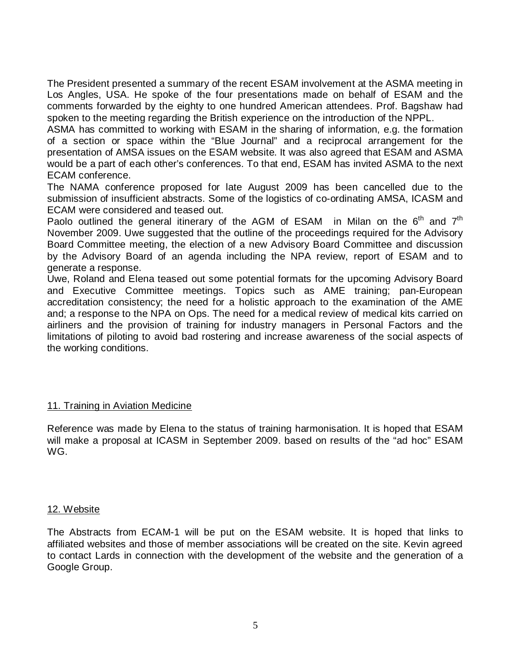The President presented a summary of the recent ESAM involvement at the ASMA meeting in Los Angles, USA. He spoke of the four presentations made on behalf of ESAM and the comments forwarded by the eighty to one hundred American attendees. Prof. Bagshaw had spoken to the meeting regarding the British experience on the introduction of the NPPL.

ASMA has committed to working with ESAM in the sharing of information, e.g. the formation of a section or space within the "Blue Journal" and a reciprocal arrangement for the presentation of AMSA issues on the ESAM website. It was also agreed that ESAM and ASMA would be a part of each other's conferences. To that end, ESAM has invited ASMA to the next ECAM conference.

The NAMA conference proposed for late August 2009 has been cancelled due to the submission of insufficient abstracts. Some of the logistics of co-ordinating AMSA, ICASM and ECAM were considered and teased out.

Paolo outlined the general itinerary of the AGM of ESAM in Milan on the  $6<sup>th</sup>$  and  $7<sup>th</sup>$ November 2009. Uwe suggested that the outline of the proceedings required for the Advisory Board Committee meeting, the election of a new Advisory Board Committee and discussion by the Advisory Board of an agenda including the NPA review, report of ESAM and to generate a response.

Uwe, Roland and Elena teased out some potential formats for the upcoming Advisory Board and Executive Committee meetings. Topics such as AME training; pan-European accreditation consistency; the need for a holistic approach to the examination of the AME and; a response to the NPA on Ops. The need for a medical review of medical kits carried on airliners and the provision of training for industry managers in Personal Factors and the limitations of piloting to avoid bad rostering and increase awareness of the social aspects of the working conditions.

#### 11. Training in Aviation Medicine

Reference was made by Elena to the status of training harmonisation. It is hoped that ESAM will make a proposal at ICASM in September 2009. based on results of the "ad hoc" ESAM WG.

#### 12. Website

The Abstracts from ECAM-1 will be put on the ESAM website. It is hoped that links to affiliated websites and those of member associations will be created on the site. Kevin agreed to contact Lards in connection with the development of the website and the generation of a Google Group.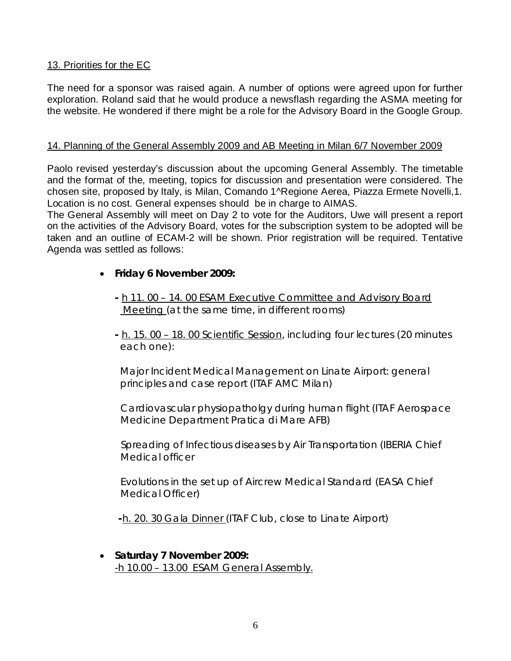# 13. Priorities for the EC

The need for a sponsor was raised again. A number of options were agreed upon for further exploration. Roland said that he would produce a newsflash regarding the ASMA meeting for the website. He wondered if there might be a role for the Advisory Board in the Google Group.

### 14. Planning of the General Assembly 2009 and AB Meeting in Milan 6/7 November 2009

Paolo revised yesterday's discussion about the upcoming General Assembly. The timetable and the format of the, meeting, topics for discussion and presentation were considered. The chosen site, proposed by Italy, is Milan, Comando 1^Regione Aerea, Piazza Ermete Novelli,1. Location is no cost. General expenses should be in charge to AIMAS.

The General Assembly will meet on Day 2 to vote for the Auditors, Uwe will present a report on the activities of the Advisory Board, votes for the subscription system to be adopted will be taken and an outline of ECAM-2 will be shown. Prior registration will be required. Tentative Agenda was settled as follows:

- **Friday 6 November 2009:** 
	- **-** h 11. 00 14. 00 ESAM Executive Committee and Advisory Board Meeting (at the same time, in different rooms)
	- **-** h. 15. 00 18. 00 Scientific Session, including four lectures (20 minutes each one):

Major Incident Medical Management on Linate Airport: general principles and case report (ITAF AMC Milan)

 Cardiovascular physiopatholgy during human flight (ITAF Aerospace Medicine Department Pratica di Mare AFB)

 Spreading of Infectious diseases by Air Transportation (IBERIA Chief Medical officer

 Evolutions in the set up of Aircrew Medical Standard (EASA Chief Medical Officer)

 **-**h. 20. 30 Gala Dinner (ITAF Club, close to Linate Airport)

• **Saturday 7 November 2009:**  -h 10.00 – 13.00 ESAM General Assembly.